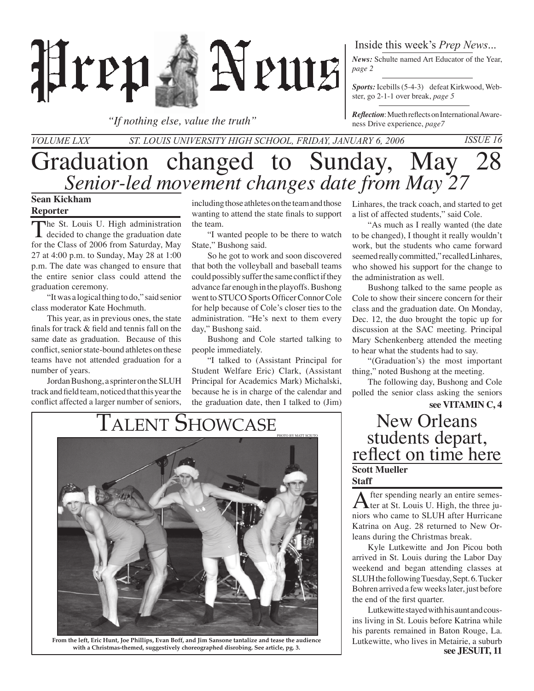

*"If nothing else, value the truth"*

### Inside this week's *Prep News*...

*News:* Schulte named Art Educator of the Year, *page 2*

*Sports:* Icebills (5-4-3) defeat Kirkwood, Webster, go 2-1-1 over break, *page 5*

*Reflection*: Mueth reflects on International Awareness Drive experience, *page7*

## Graduation changed to Sunday, May 28 *Volume LXX St. Louis University High School, Friday, January 6, 2006 Issue 16 Senior-led movement changes date from May 27*

### **Sean Kickham Reporter**

The St. Louis U. High administration<br>decided to change the graduation date for the Class of 2006 from Saturday, May 27 at 4:00 p.m. to Sunday, May 28 at 1:00 p.m. The date was changed to ensure that the entire senior class could attend the graduation ceremony.

"It was a logical thing to do," said senior class moderator Kate Hochmuth.

 This year, as in previous ones, the state finals for track & field and tennis fall on the same date as graduation. Because of this conflict, senior state-bound athletes on these teams have not attended graduation for a number of years.

Jordan Bushong, a sprinter on the SLUH track and field team, noticed that this year the conflict affected a larger number of seniors, including those athletes on the team and those wanting to attend the state finals to support the team.

"I wanted people to be there to watch State," Bushong said.

So he got to work and soon discovered that both the volleyball and baseball teams could possibly suffer the same conflict if they advance far enough in the playoffs. Bushong went to STUCO Sports Officer Connor Cole for help because of Cole's closer ties to the administration. "He's next to them every day," Bushong said.

 Bushong and Cole started talking to people immediately.

"I talked to (Assistant Principal for Student Welfare Eric) Clark, (Assistant Principal for Academics Mark) Michalski, because he is in charge of the calendar and the graduation date, then I talked to (Jim)



**From the left, Eric Hunt, Joe Phillips, Evan Boff, and Jim Sansone tantalize and tease the audience with a Christmas-themed, suggestively choreographed disrobing. See article, pg. 3.**

Linhares, the track coach, and started to get a list of affected students," said Cole.

"As much as I really wanted (the date to be changed), I thought it really wouldn't work, but the students who came forward seemed really committed," recalled Linhares, who showed his support for the change to the administration as well.

Bushong talked to the same people as Cole to show their sincere concern for their class and the graduation date. On Monday, Dec. 12, the duo brought the topic up for discussion at the SAC meeting. Principal Mary Schenkenberg attended the meeting to hear what the students had to say.

"(Graduation's) the most important thing," noted Bushong at the meeting.

 The following day, Bushong and Cole polled the senior class asking the seniors

**see VITAMIN C, 4**

## students depart, reflect on time here **Scott Mueller Staff**

After spending nearly an entire semes-<br>ter at St. Louis U. High, the three juniors who came to SLUH after Hurricane Katrina on Aug. 28 returned to New Orleans during the Christmas break.

Kyle Lutkewitte and Jon Picou both arrived in St. Louis during the Labor Day weekend and began attending classes at SLUH the following Tuesday, Sept. 6. Tucker Bohren arrived a few weeks later, just before the end of the first quarter.

**see JESUIT, 11** Lutkewitte stayed with his aunt and cousins living in St. Louis before Katrina while his parents remained in Baton Rouge, La. Lutkewitte, who lives in Metairie, a suburb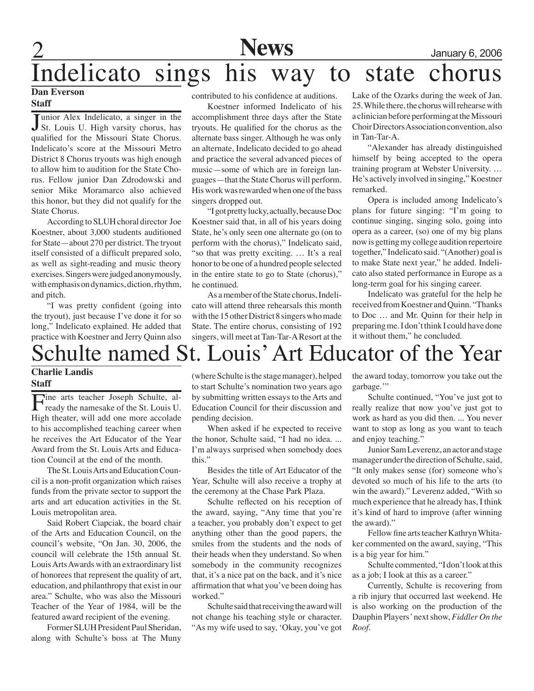2 **News** January 6, 2006

# Indelicato sings his way to state chorus

### **Dan Everson Staff**

Junior Alex Indelicato, a singer in the<br>St. Louis U. High varsity chorus, has **Tunior Alex Indelicato, a singer in the** qualified for the Missouri State Chorus. Indelicato's score at the Missouri Metro District 8 Chorus tryouts was high enough to allow him to audition for the State Chorus. Fellow junior Dan Zdrodowski and senior Mike Moramarco also achieved this honor, but they did not qualify for the State Chorus.

 According to SLUH choral director Joe Koestner, about 3,000 students auditioned for State—about 270 per district. The tryout itself consisted of a difficult prepared solo, as well as sight-reading and music theory exercises. Singers were judged anonymously, with emphasis on dynamics, diction, rhythm, and pitch.

"I was pretty confident (going into the tryout), just because I've done it for so long," Indelicato explained. He added that practice with Koestner and Jerry Quinn also

contributed to his confidence at auditions.

Koestner informed Indelicato of his accomplishment three days after the State tryouts. He qualified for the chorus as the alternate bass singer. Although he was only an alternate, Indelicato decided to go ahead and practice the several advanced pieces of music—some of which are in foreign languages—that the State Chorus will perform. His work was rewarded when one of the bass singers dropped out.

"I got pretty lucky, actually, because Doc Koestner said that, in all of his years doing State, he's only seen one alternate go (on to perform with the chorus)," Indelicato said, "so that was pretty exciting. … It's a real honor to be one of a hundred people selected in the entire state to go to State (chorus)," he continued.

As a member of the State chorus, Indelicato will attend three rehearsals this month with the 15 other District 8 singers who made State. The entire chorus, consisting of 192 singers, will meet at Tan-Tar-A Resort at the Lake of the Ozarks during the week of Jan. 25. While there, the chorus will rehearse with a clinician before performing at the Missouri Choir Directors Association convention, also in Tan-Tar-A.

"Alexander has already distinguished himself by being accepted to the opera training program at Webster University. … He's actively involved in singing," Koestner remarked.

Opera is included among Indelicato's plans for future singing: "I'm going to continue singing, singing solo, going into opera as a career, (so) one of my big plans now is getting my college audition repertoire together," Indelicato said. "(Another) goal is to make State next year," he added. Indelicato also stated performance in Europe as a long-term goal for his singing career.

 Indelicato was grateful for the help he received from Koestner and Quinn. "Thanks to Doc … and Mr. Quinn for their help in preparing me. I don't think I could have done it without them," he concluded.

# Schulte named St. Louis' Art Educator of the Year

### **Charlie Landis Staff**

Fine arts teacher Joseph Schulte, al-<br>ready the namesake of the St. Louis U. High theater, will add one more accolade to his accomplished teaching career when he receives the Art Educator of the Year Award from the St. Louis Arts and Education Council at the end of the month.

The St. Louis Arts and Education Council is a non-profit organization which raises funds from the private sector to support the arts and art education activities in the St. Louis metropolitan area.

Said Robert Ciapciak, the board chair of the Arts and Education Council, on the council's website, "On Jan. 30, 2006, the council will celebrate the 15th annual St. Louis Arts Awards with an extraordinary list of honorees that represent the quality of art, education, and philanthropy that exist in our area." Schulte, who was also the Missouri Teacher of the Year of 1984, will be the featured award recipient of the evening.

Former SLUH President Paul Sheridan, along with Schulte's boss at The Muny (where Schulte is the stage manager), helped to start Schulte's nomination two years ago by submitting written essays to the Arts and Education Council for their discussion and pending decision.

 When asked if he expected to receive the honor, Schulte said, "I had no idea. ... I'm always surprised when somebody does this."

Besides the title of Art Educator of the Year, Schulte will also receive a trophy at the ceremony at the Chase Park Plaza.

 Schulte reflected on his reception of the award, saying, "Any time that you're a teacher, you probably don't expect to get anything other than the good papers, the smiles from the students and the nods of their heads when they understand. So when somebody in the community recognizes that, it's a nice pat on the back, and it's nice affirmation that what you've been doing has worked."

 Schulte said that receiving the award will not change his teaching style or character. "As my wife used to say, 'Okay, you've got

the award today, tomorrow you take out the garbage."

Schulte continued, "You've just got to really realize that now you've just got to work as hard as you did then. ... You never want to stop as long as you want to teach and enjoy teaching."

 Junior Sam Leverenz, an actor and stage manager under the direction of Schulte, said, "It only makes sense (for) someone who's devoted so much of his life to the arts (to win the award)." Leverenz added, "With so much experience that he already has, I think it's kind of hard to improve (after winning the award)."

 Fellow fine arts teacher Kathryn Whitaker commented on the award, saying, "This is a big year for him."

 Schulte commented, "I don't look at this as a job; I look at this as a career."

Currently, Schulte is recovering from a rib injury that occurred last weekend. He is also working on the production of the Dauphin Players*'* next show, *Fiddler On the Roof.*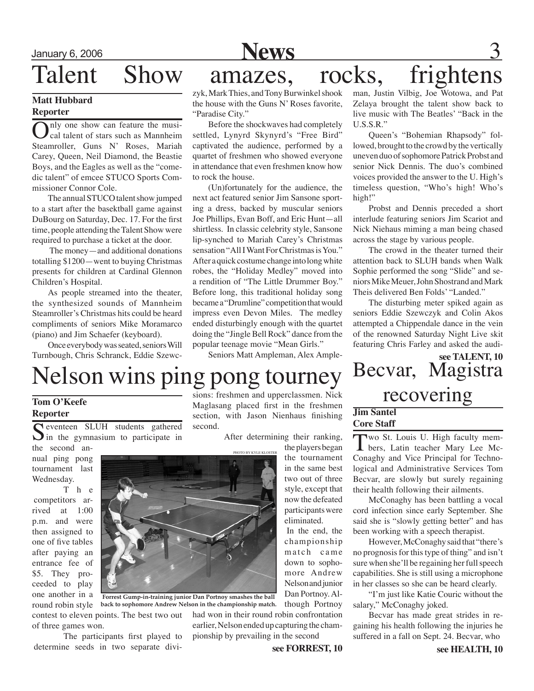

## Talent Show amazes, rocks, frightens

### **Matt Hubbard Reporter**

nly one show can feature the musical talent of stars such as Mannheim Steamroller, Guns N' Roses, Mariah Carey, Queen, Neil Diamond, the Beastie Boys, and the Eagles as well as the "comedic talent" of emcee STUCO Sports Commissioner Connor Cole.

The annual STUCO talent show jumped to a start after the basektball game against DuBourg on Saturday, Dec. 17. For the first time, people attending the Talent Show were required to purchase a ticket at the door.

 The money—and additional donations totalling \$1200—went to buying Christmas presents for children at Cardinal Glennon Children's Hospital.

As people streamed into the theater, the synthesized sounds of Mannheim Steamroller's Christmas hits could be heard compliments of seniors Mike Moramarco (piano) and Jim Schaefer (keyboard).

 Once everybody was seated, seniors Will Turnbough, Chris Schranck, Eddie Szewc-

zyk, Mark Thies, and Tony Burwinkel shook the house with the Guns N' Roses favorite, "Paradise City."

Before the shockwaves had completely settled, Lynyrd Skynyrd's "Free Bird" captivated the audience, performed by a quartet of freshmen who showed everyone in attendance that even freshmen know how to rock the house.

(Un)fortunately for the audience, the next act featured senior Jim Sansone sporting a dress, backed by muscular seniors Joe Phillips, Evan Boff, and Eric Hunt—all shirtless. In classic celebrity style, Sansone lip-synched to Mariah Carey's Christmas sensation "All I Want For Christmas is You." After a quick costume change into long white robes, the "Holiday Medley" moved into a rendition of "The Little Drummer Boy." Before long, this traditional holiday song became a "Drumline" competition that would impress even Devon Miles. The medley ended disturbingly enough with the quartet doing the "Jingle Bell Rock" dance from the popular teenage movie "Mean Girls."

Seniors Matt Ampleman, Alex Ample-

man, Justin Vilbig, Joe Wotowa, and Pat Zelaya brought the talent show back to live music with The Beatles' "Back in the U.S.S.R."

Queen's "Bohemian Rhapsody" followed, brought to the crowd by the vertically uneven duo of sophomore Patrick Probst and senior Nick Dennis. The duo's combined voices provided the answer to the U. High's timeless question, "Who's high! Who's high!"

 Probst and Dennis preceded a short interlude featuring seniors Jim Scariot and Nick Niehaus miming a man being chased across the stage by various people.

 The crowd in the theater turned their attention back to SLUH bands when Walk Sophie performed the song "Slide" and seniors Mike Meuer, John Shostrand and Mark Theis delivered Ben Folds' "Landed."

The disturbing meter spiked again as seniors Eddie Szewczyk and Colin Akos attempted a Chippendale dance in the vein of the renowned Saturday Night Live skit featuring Chris Farley and asked the audi-

**see TALENT, 10** Becvar, Magistra

# Nelson wins ping pong tourney Deuval, Magi

### **Tom O'Keefe Reporter**

Seventeen SLUH students gathered  $\sum$  in the gymnasium to participate in

the second annual ping pong tournament last Wednesday.

 T h e competitors arrived at 1:00 p.m. and were then assigned to one of five tables after paying an entrance fee of \$5. They proceeded to play one another in a round robin style

of three games won.

sions: freshmen and upperclassmen. Nick Maglasang placed first in the freshmen section, with Jason Nienhaus finishing second.

photo BY kyle kloster

After determining their ranking,

the players began the tournament in the same best two out of three style, except that now the defeated participants were eliminated.

 In the end, the championship match came down to sophomore Andrew Nelson and junior Dan Portnoy. Although Portnoy

had won in their round robin confrontation earlier, Nelson ended up capturing the championship by prevailing in the second

**see FORREST, 10**

## **Jim Santel Core Staff**

Two St. Louis U. High faculty members, Latin teacher Mary Lee Mc-Conaghy and Vice Principal for Technological and Administrative Services Tom Becvar, are slowly but surely regaining their health following their ailments.

McConaghy has been battling a vocal cord infection since early September. She said she is "slowly getting better" and has been working with a speech therapist.

 However, McConaghy said that "there's no prognosis for this type of thing" and isn't sure when she'll be regaining her full speech capabilities. She is still using a microphone in her classes so she can be heard clearly.

"I'm just like Katie Couric without the salary," McConaghy joked.

Becvar has made great strides in regaining his health following the injuries he suffered in a fall on Sept. 24. Becvar, who



**back to sophomore Andrew Nelson in the championship match.**

The participants first played to determine seeds in two separate divi-<br> **See FORREST, 10** See HEALTH. 10

contest to eleven points. The best two out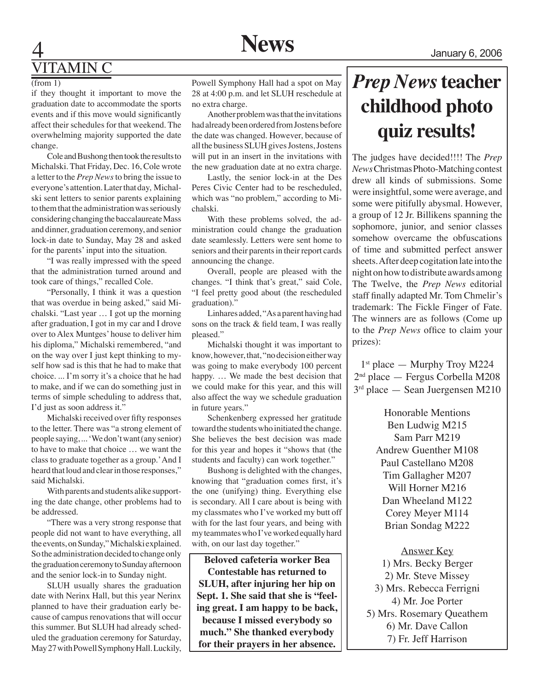## 4 **News** January 6, 2006 **TTAMIN C**

### $(from 1)$

if they thought it important to move the graduation date to accommodate the sports events and if this move would significantly affect their schedules for that weekend. The overwhelming majority supported the date change.

 Cole and Bushong then took the results to Michalski. That Friday, Dec. 16, Cole wrote a letter to the *Prep News* to bring the issue to everyone's attention. Later that day, Michalski sent letters to senior parents explaining to them that the administration was seriously considering changing the baccalaureate Mass and dinner, graduation ceremony, and senior lock-in date to Sunday, May 28 and asked for the parents' input into the situation.

"I was really impressed with the speed that the administration turned around and took care of things," recalled Cole.

"Personally, I think it was a question that was overdue in being asked," said Michalski. "Last year … I got up the morning after graduation, I got in my car and I drove over to Alex Muntges' house to deliver him his diploma," Michalski remembered, "and on the way over I just kept thinking to myself how sad is this that he had to make that choice. ... I'm sorry it's a choice that he had to make, and if we can do something just in terms of simple scheduling to address that, I'd just as soon address it."

Michalski received over fifty responses to the letter. There was "a strong element of people saying, ... 'We don't want (any senior) to have to make that choice … we want the class to graduate together as a group.' And I heard that loud and clear in those responses," said Michalski.

With parents and students alike supporting the date change, other problems had to be addressed.

"There was a very strong response that people did not want to have everything, all the events, on Sunday," Michalski explained. So the administration decided to change only the graduation ceremony to Sunday afternoon and the senior lock-in to Sunday night.

SLUH usually shares the graduation date with Nerinx Hall, but this year Nerinx planned to have their graduation early because of campus renovations that will occur this summer. But SLUH had already scheduled the graduation ceremony for Saturday, May 27 with Powell Symphony Hall. Luckily,

Powell Symphony Hall had a spot on May 28 at 4:00 p.m. and let SLUH reschedule at no extra charge.

Another problem was that the invitations had already been ordered from Jostens before the date was changed. However, because of all the business SLUH gives Jostens, Jostens will put in an insert in the invitations with the new graduation date at no extra charge.

Lastly, the senior lock-in at the Des Peres Civic Center had to be rescheduled, which was "no problem," according to Michalski.

With these problems solved, the administration could change the graduation date seamlessly. Letters were sent home to seniors and their parents in their report cards announcing the change.

 Overall, people are pleased with the changes. "I think that's great," said Cole, "I feel pretty good about (the rescheduled graduation)."

Linhares added, "As a parent having had sons on the track & field team, I was really pleased."

Michalski thought it was important to know, however, that, "no decision either way was going to make everybody 100 percent happy. … We made the best decision that we could make for this year, and this will also affect the way we schedule graduation in future years."

Schenkenberg expressed her gratitude toward the students who initiated the change. She believes the best decision was made for this year and hopes it "shows that (the students and faculty) can work together."

 Bushong is delighted with the changes, knowing that "graduation comes first, it's the one (unifying) thing. Everything else is secondary. All I care about is being with my classmates who I've worked my butt off with for the last four years, and being with my teammates who I've worked equally hard with, on our last day together."

**Beloved cafeteria worker Bea Contestable has returned to SLUH, after injuring her hip on Sept. 1. She said that she is "feeling great. I am happy to be back, because I missed everybody so much." She thanked everybody for their prayers in her absence.**

## *Prep News* **teacher childhood photo quiz results!**

The judges have decided!!!! The *Prep News* Christmas Photo-Matching contest drew all kinds of submissions. Some were insightful, some were average, and some were pitifully abysmal. However, a group of 12 Jr. Billikens spanning the sophomore, junior, and senior classes somehow overcame the obfuscations of time and submitted perfect answer sheets. After deep cogitation late into the night on how to distribute awards among The Twelve, the *Prep News* editorial staff finally adapted Mr. Tom Chmelir's trademark: The Fickle Finger of Fate. The winners are as follows (Come up to the *Prep News* office to claim your prizes):

1<sup>st</sup> place — Murphy Troy M224 2nd place — Fergus Corbella M208 3rd place — Sean Juergensen M210

> Honorable Mentions Ben Ludwig M215 Sam Parr M219 Andrew Guenther M108 Paul Castellano M208 Tim Gallagher M207 Will Horner M216 Dan Wheeland M122 Corey Meyer M114 Brian Sondag M222

Answer Key 1) Mrs. Becky Berger 2) Mr. Steve Missey 3) Mrs. Rebecca Ferrigni 4) Mr. Joe Porter 5) Mrs. Rosemary Queathem 6) Mr. Dave Callon 7) Fr. Jeff Harrison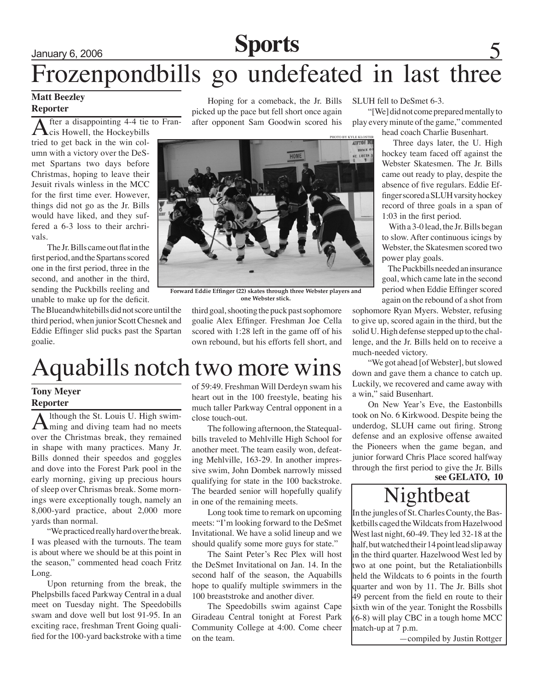# January 6, 2006 5 **Sports** Frozenpondbills go undefeated in last three

### **Matt Beezley Reporter**

After a disappointing 4-4 tie to Fran-<br>cis Howell, the Hockeybills tried to get back in the win column with a victory over the DeSmet Spartans two days before Christmas, hoping to leave their Jesuit rivals winless in the MCC for the first time ever. However, things did not go as the Jr. Bills would have liked, and they suffered a 6-3 loss to their archrivals.

The Jr. Bills came out flat in the first period, and the Spartans scored one in the first period, three in the second, and another in the third, sending the Puckbills reeling and unable to make up for the deficit.

The Blueandwhitebills did not score until the third period, when junior Scott Chesnek and Eddie Effinger slid pucks past the Spartan goalie.

Hoping for a comeback, the Jr. Bills picked up the pace but fell short once again after opponent Sam Goodwin scored his



**Forward Eddie Effinger (22) skates through three Webster players and one Webster stick.** 

third goal, shooting the puck past sophomore goalie Alex Effinger. Freshman Joe Cella scored with 1:28 left in the game off of his own rebound, but his efforts fell short, and

# Aquabills notch two more wins

### **Tony Meyer Reporter**

Although the St. Louis U. High swim-<br>ming and diving team had no meets over the Christmas break, they remained in shape with many practices. Many Jr. Bills donned their speedos and goggles and dove into the Forest Park pool in the early morning, giving up precious hours of sleep over Chrismas break. Some mornings were exceptionally tough, namely an 8,000-yard practice, about 2,000 more yards than normal.

"We practiced really hard over the break. I was pleased with the turnouts. The team is about where we should be at this point in the season," commented head coach Fritz Long.

Upon returning from the break, the Phelpsbills faced Parkway Central in a dual meet on Tuesday night. The Speedobills swam and dove well but lost 91-95. In an exciting race, freshman Trent Going qualified for the 100-yard backstroke with a time

of 59:49. Freshman Will Derdeyn swam his heart out in the 100 freestyle, beating his much taller Parkway Central opponent in a close touch-out.

The following afternoon, the Statequalbills traveled to Mehlville High School for another meet. The team easily won, defeating Mehlville, 163-29. In another impressive swim, John Dombek narrowly missed qualifying for state in the 100 backstroke. The bearded senior will hopefully qualify in one of the remaining meets.

Long took time to remark on upcoming meets: "I'm looking forward to the DeSmet Invitational. We have a solid lineup and we should qualify some more guys for state."

The Saint Peter's Rec Plex will host the DeSmet Invitational on Jan. 14. In the second half of the season, the Aquabills hope to qualify multiple swimmers in the 100 breaststroke and another diver.

The Speedobills swim against Cape Giradeau Central tonight at Forest Park Community College at 4:00. Come cheer on the team.

### SLUH fell to DeSmet 6-3.

"[We] did not come prepared mentally to play every minute of the game," commented

head coach Charlie Busenhart.

 Three days later, the U. High hockey team faced off against the Webster Skatesmen. The Jr. Bills came out ready to play, despite the absence of five regulars. Eddie Effinger scored a SLUH varsity hockey record of three goals in a span of 1:03 in the first period.

 With a 3-0 lead, the Jr. Bills began to slow. After continuous icings by Webster, the Skatesmen scored two power play goals.

 The Puckbills needed an insurance goal, which came late in the second period when Eddie Effinger scored again on the rebound of a shot from

sophomore Ryan Myers. Webster, refusing to give up, scored again in the third, but the solid U. High defense stepped up to the challenge, and the Jr. Bills held on to receive a much-needed victory.

"We got ahead [of Webster], but slowed down and gave them a chance to catch up. Luckily, we recovered and came away with a win," said Busenhart.

On New Year's Eve, the Eastonbills took on No. 6 Kirkwood. Despite being the underdog, SLUH came out firing. Strong defense and an explosive offense awaited the Pioneers when the game began, and junior forward Chris Place scored halfway through the first period to give the Jr. Bills

### **see GELATO, 10**

## Nightbeat

In the jungles of St. Charles County, the Basketbills caged the Wildcats from Hazelwood West last night, 60-49. They led 32-18 at the half, but watched their 14 point lead slip away in the third quarter. Hazelwood West led by two at one point, but the Retaliationbills held the Wildcats to 6 points in the fourth quarter and won by 11. The Jr. Bills shot 49 percent from the field en route to their sixth win of the year. Tonight the Rossbills (6-8) will play CBC in a tough home MCC match-up at 7 p.m.

—compiled by Justin Rottger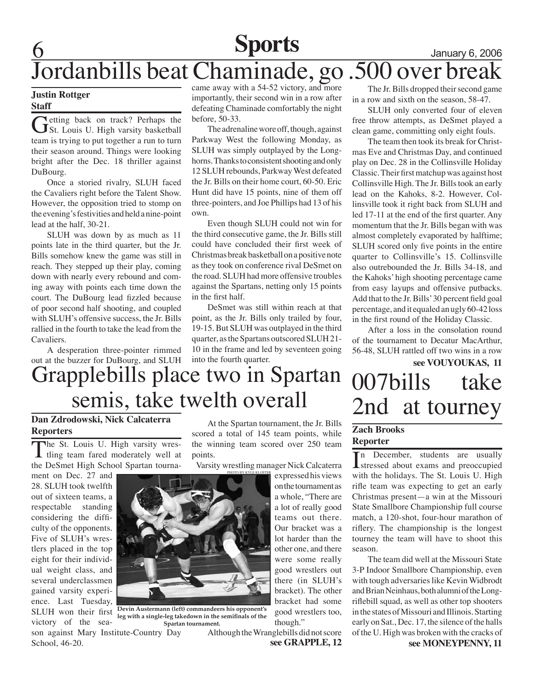6 **Sports** January 6, 2006 Jordanbills beat Chaminade, go .500 over break

### **Justin Rottger Staff**

Getting back on track? Perhaps the St. Louis U. High varsity basketball team is trying to put together a run to turn their season around. Things were looking bright after the Dec. 18 thriller against DuBourg.

 Once a storied rivalry, SLUH faced the Cavaliers right before the Talent Show. However, the opposition tried to stomp on the evening's festivities and held a nine-point lead at the half, 30-21.

SLUH was down by as much as 11 points late in the third quarter, but the Jr. Bills somehow knew the game was still in reach. They stepped up their play, coming down with nearly every rebound and coming away with points each time down the court. The DuBourg lead fizzled because of poor second half shooting, and coupled with SLUH's offensive success, the Jr. Bills rallied in the fourth to take the lead from the Cavaliers.

A desperation three-pointer rimmed out at the buzzer for DuBourg, and SLUH came away with a 54-52 victory, and more importantly, their second win in a row after defeating Chaminade comfortably the night before, 50-33.

 The adrenaline wore off, though, against Parkway West the following Monday, as SLUH was simply outplayed by the Longhorns. Thanks to consistent shooting and only 12 SLUH rebounds, Parkway West defeated the Jr. Bills on their home court, 60-50. Eric Hunt did have 15 points, nine of them off three-pointers, and Joe Phillips had 13 of his own.

Even though SLUH could not win for the third consecutive game, the Jr. Bills still could have concluded their first week of Christmas break basketball on a positive note as they took on conference rival DeSmet on the road. SLUH had more offensive troubles against the Spartans, netting only 15 points in the first half.

DeSmet was still within reach at that point, as the Jr. Bills only trailed by four, 19-15. But SLUH was outplayed in the third quarter, as the Spartans outscored SLUH 21- 10 in the frame and led by seventeen going into the fourth quarter.

The Jr. Bills dropped their second game in a row and sixth on the season, 58-47.

SLUH only converted four of eleven free throw attempts, as DeSmet played a clean game, committing only eight fouls.

The team then took its break for Christmas Eve and Christmas Day, and continued play on Dec. 28 in the Collinsville Holiday Classic. Their first matchup was against host Collinsville High. The Jr. Bills took an early lead on the Kahoks, 8-2. However, Collinsville took it right back from SLUH and led 17-11 at the end of the first quarter. Any momentum that the Jr. Bills began with was almost completely evaporated by halftime; SLUH scored only five points in the entire quarter to Collinsville's 15. Collinsville also outrebounded the Jr. Bills 34-18, and the Kahoks' high shooting percentage came from easy layups and offensive putbacks. Add that to the Jr. Bills' 30 percent field goal percentage, and it equaled an ugly 60-42 loss in the first round of the Holiday Classic.

 After a loss in the consolation round of the tournament to Decatur MacArthur, 56-48, SLUH rattled off two wins in a row

### **see VOUYOUKAS, 11** Grapplebills place two in Spartan 007bills take 2nd at tourney

### **Dan Zdrodowski, Nick Calcaterra Reporters**

The St. Louis U. High varsity wres-<br>tling team fared moderately well at the DeSmet High School Spartan tourna-

ment on Dec. 27 and 28. SLUH took twelfth out of sixteen teams, a respectable standing considering the difficulty of the opponents. Five of SLUH's wrestlers placed in the top eight for their individual weight class, and several underclassmen gained varsity experience. Last Tuesday, SLUH won their first victory of the sea-

At the Spartan tournament, the Jr. Bills scored a total of 145 team points, while the winning team scored over 250 team points.

Varsity wrestling manager Nick Calcaterra

expressed his views on the tournament as a whole, "There are a lot of really good teams out there. Our bracket was a lot harder than the other one, and there were some really good wrestlers out there (in SLUH's bracket). The other bracket had some good wrestlers too, though."

 Although the Wranglebills did not score **see GRAPPLE, 12**

### **Zach Brooks Reporter**

In December, students are usually<br>stressed about exams and preoccupied In December, students are usually with the holidays. The St. Louis U. High rifle team was expecting to get an early Christmas present—a win at the Missouri State Smallbore Championship full course match, a 120-shot, four-hour marathon of riflery. The championship is the longest tourney the team will have to shoot this season.

The team did well at the Missouri State 3-P Indoor Smallbore Championship, even with tough adversaries like Kevin Widbrodt and Brian Neinhaus, both alumni of the Longriflebill squad, as well as other top shooters in the states of Missouri and Illinois. Starting early on Sat., Dec. 17, the silence of the halls of the U. High was broken with the cracks of

**see MONEYPENNY, 11**



semis, take twelth overall

**Devin Austermann (left) commandeers his opponent's leg with a single-leg takedown in the semifinals of the Spartan tournament.**

son against Mary Institute-Country Day School, 46-20.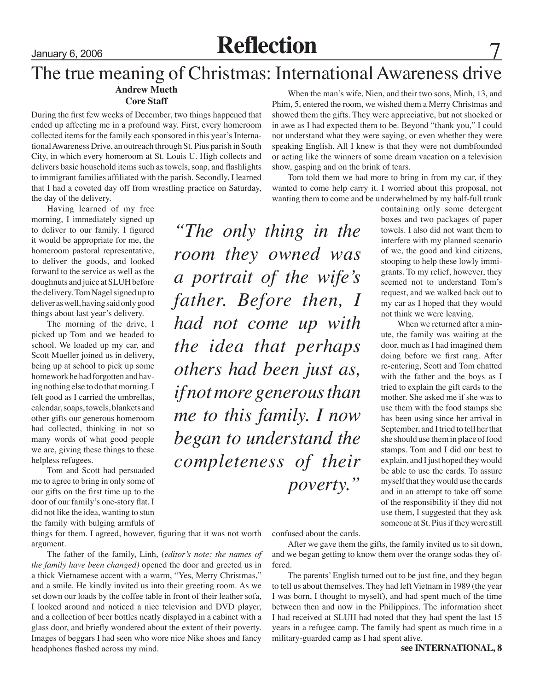# January 6, 2006 **Reflection** 7

### The true meaning of Christmas: International Awareness drive **Andrew Mueth** When the man's wife, Nien, and their two sons, Minh, 13, and

### **Core Staff**

During the first few weeks of December, two things happened that ended up affecting me in a profound way. First, every homeroom collected items for the family each sponsored in this year's International Awareness Drive, an outreach through St. Pius parish in South City, in which every homeroom at St. Louis U. High collects and delivers basic household items such as towels, soap, and flashlights to immigrant families affiliated with the parish. Secondly, I learned that I had a coveted day off from wrestling practice on Saturday, the day of the delivery.

Having learned of my free morning, I immediately signed up to deliver to our family. I figured it would be appropriate for me, the homeroom pastoral representative, to deliver the goods, and looked forward to the service as well as the doughnuts and juice at SLUH before the delivery. Tom Nagel signed up to deliver as well, having said only good things about last year's delivery.

The morning of the drive, I picked up Tom and we headed to school. We loaded up my car, and Scott Mueller joined us in delivery, being up at school to pick up some homework he had forgotten and having nothing else to do that morning. I felt good as I carried the umbrellas, calendar, soaps, towels, blankets and other gifts our generous homeroom had collected, thinking in not so many words of what good people we are, giving these things to these helpless refugees.

Tom and Scott had persuaded me to agree to bring in only some of our gifts on the first time up to the door of our family's one-story flat. I did not like the idea, wanting to stun the family with bulging armfuls of

things for them. I agreed, however, figuring that it was not worth argument.

The father of the family, Linh, (*editor's note: the names of the family have been changed)* opened the door and greeted us in a thick Vietnamese accent with a warm, "Yes, Merry Christmas," and a smile. He kindly invited us into their greeting room. As we set down our loads by the coffee table in front of their leather sofa, I looked around and noticed a nice television and DVD player, and a collection of beer bottles neatly displayed in a cabinet with a glass door, and briefly wondered about the extent of their poverty. Images of beggars I had seen who wore nice Nike shoes and fancy headphones flashed across my mind.

Phim, 5, entered the room, we wished them a Merry Christmas and showed them the gifts. They were appreciative, but not shocked or in awe as I had expected them to be. Beyond "thank you," I could not understand what they were saying, or even whether they were speaking English. All I knew is that they were not dumbfounded or acting like the winners of some dream vacation on a television show, gasping and on the brink of tears.

Tom told them we had more to bring in from my car, if they wanted to come help carry it. I worried about this proposal, not wanting them to come and be underwhelmed by my half-full trunk

*"The only thing in the room they owned was a portrait of the wife's father. Before then, I had not come up with the idea that perhaps others had been just as, if not more generous than me to this family. I now began to understand the completeness of their poverty."*

containing only some detergent boxes and two packages of paper towels. I also did not want them to interfere with my planned scenario of we, the good and kind citizens, stooping to help these lowly immigrants. To my relief, however, they seemed not to understand Tom's request, and we walked back out to my car as I hoped that they would not think we were leaving.

When we returned after a minute, the family was waiting at the door, much as I had imagined them doing before we first rang. After re-entering, Scott and Tom chatted with the father and the boys as I tried to explain the gift cards to the mother. She asked me if she was to use them with the food stamps she has been using since her arrival in September, and I tried to tell her that she should use them in place of food stamps. Tom and I did our best to explain, and I just hoped they would be able to use the cards. To assure myself that they would use the cards and in an attempt to take off some of the responsibility if they did not use them, I suggested that they ask someone at St. Pius if they were still

confused about the cards.

After we gave them the gifts, the family invited us to sit down, and we began getting to know them over the orange sodas they offered.

The parents' English turned out to be just fine, and they began to tell us about themselves. They had left Vietnam in 1989 (the year I was born, I thought to myself), and had spent much of the time between then and now in the Philippines. The information sheet I had received at SLUH had noted that they had spent the last 15 years in a refugee camp. The family had spent as much time in a military-guarded camp as I had spent alive.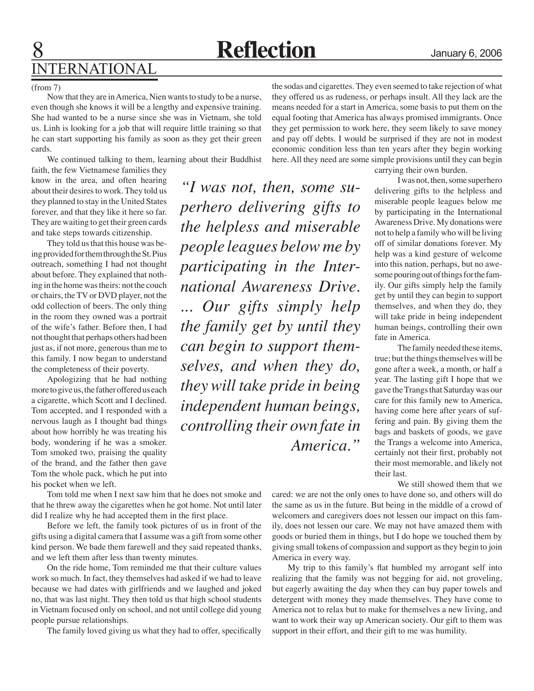*"I was not, then, some su-*

*perhero delivering gifts to* 

*the helpless and miserable* 

*people leagues below me by* 

*participating in the Inter-*

*national Awareness Drive.* 

*... Our gifts simply help* 

*the family get by until they* 

*can begin to support them-*

*selves, and when they do,* 

*they will take pride in being* 

*independent human beings,* 

*controlling their own fate in* 

*America."*

### (from 7)

Now that they are in America, Nien wants to study to be a nurse, even though she knows it will be a lengthy and expensive training. She had wanted to be a nurse since she was in Vietnam, she told us. Linh is looking for a job that will require little training so that he can start supporting his family as soon as they get their green cards.

We continued talking to them, learning about their Buddhist faith, the few Vietnamese families they

know in the area, and often hearing about their desires to work. They told us they planned to stay in the United States forever, and that they like it here so far. They are waiting to get their green cards and take steps towards citizenship.

 They told us that this house was being provided for them through the St. Pius outreach, something I had not thought about before. They explained that nothing in the home was theirs: not the couch or chairs, the TV or DVD player, not the odd collection of beers. The only thing in the room they owned was a portrait of the wife's father. Before then, I had not thought that perhaps others had been just as, if not more, generous than me to this family. I now began to understand the completeness of their poverty.

Apologizing that he had nothing more to give us, the father offered us each a cigarette, which Scott and I declined. Tom accepted, and I responded with a nervous laugh as I thought bad things about how horribly he was treating his body, wondering if he was a smoker. Tom smoked two, praising the quality of the brand, and the father then gave Tom the whole pack, which he put into his pocket when we left.

Tom told me when I next saw him that he does not smoke and that he threw away the cigarettes when he got home. Not until later did I realize why he had accepted them in the first place.

Before we left, the family took pictures of us in front of the gifts using a digital camera that I assume was a gift from some other kind person. We bade them farewell and they said repeated thanks, and we left them after less than twenty minutes.

On the ride home, Tom reminded me that their culture values work so much. In fact, they themselves had asked if we had to leave because we had dates with girlfriends and we laughed and joked no, that was last night. They then told us that high school students in Vietnam focused only on school, and not until college did young people pursue relationships.

The family loved giving us what they had to offer, specifically

the sodas and cigarettes. They even seemed to take rejection of what they offered us as rudeness, or perhaps insult. All they lack are the means needed for a start in America, some basis to put them on the equal footing that America has always promised immigrants. Once they get permission to work here, they seem likely to save money and pay off debts. I would be surprised if they are not in modest economic condition less than ten years after they begin working here. All they need are some simple provisions until they can begin

carrying their own burden.

I was not, then, some superhero delivering gifts to the helpless and miserable people leagues below me by participating in the International Awareness Drive. My donations were not to help a family who will be living off of similar donations forever. My help was a kind gesture of welcome into this nation, perhaps, but no awesome pouring out of things for the family. Our gifts simply help the family get by until they can begin to support themselves, and when they do, they will take pride in being independent human beings, controlling their own fate in America.

The family needed these items, true; but the things themselves will be gone after a week, a month, or half a year. The lasting gift I hope that we gave the Trangs that Saturday was our care for this family new to America, having come here after years of suffering and pain. By giving them the bags and baskets of goods, we gave the Trangs a welcome into America, certainly not their first, probably not their most memorable, and likely not their last.

We still showed them that we

cared: we are not the only ones to have done so, and others will do the same as us in the future. But being in the middle of a crowd of welcomers and caregivers does not lessen our impact on this family, does not lessen our care. We may not have amazed them with goods or buried them in things, but I do hope we touched them by giving small tokens of compassion and support as they begin to join America in every way.

My trip to this family's flat humbled my arrogant self into realizing that the family was not begging for aid, not groveling, but eagerly awaiting the day when they can buy paper towels and detergent with money they made themselves. They have come to America not to relax but to make for themselves a new living, and want to work their way up American society. Our gift to them was support in their effort, and their gift to me was humility.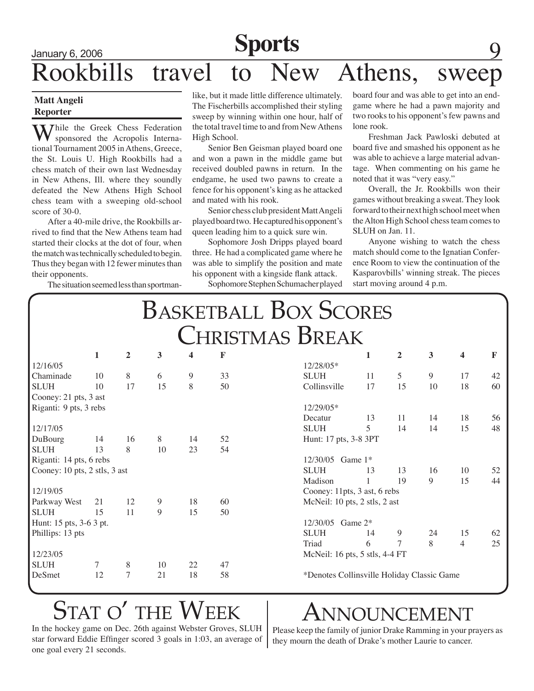# **Sports** 9 Rookbills travel to New Athens, sweep

### **Matt Angeli Reporter**

Thile the Greek Chess Federation sponsored the Acropolis International Tournament 2005 in Athens, Greece, the St. Louis U. High Rookbills had a chess match of their own last Wednesday in New Athens, Ill. where they soundly defeated the New Athens High School chess team with a sweeping old-school score of 30-0.

After a 40-mile drive, the Rookbills arrived to find that the New Athens team had started their clocks at the dot of four, when the match was technically scheduled to begin. Thus they began with 12 fewer minutes than their opponents.

The situation seemed less than sportman-

like, but it made little difference ultimately. The Fischerbills accomplished their styling sweep by winning within one hour, half of the total travel time to and from New Athens High School.

Senior Ben Geisman played board one and won a pawn in the middle game but received doubled pawns in return. In the endgame, he used two pawns to create a fence for his opponent's king as he attacked and mated with his rook.

Senior chess club president Matt Angeli played board two. He captured his opponent's queen leading him to a quick sure win.

Sophomore Josh Dripps played board three. He had a complicated game where he was able to simplify the position and mate his opponent with a kingside flank attack.

Sophomore Stephen Schumacher played

board four and was able to get into an endgame where he had a pawn majority and two rooks to his opponent's few pawns and lone rook.

Freshman Jack Pawloski debuted at board five and smashed his opponent as he was able to achieve a large material advantage. When commenting on his game he noted that it was "very easy."

Overall, the Jr. Rookbills won their games without breaking a sweat. They look forward to their next high school meet when the Alton High School chess team comes to SLUH on Jan. 11.

 Anyone wishing to watch the chess match should come to the Ignatian Conference Room to view the continuation of the Kasparovbills' winning streak. The pieces start moving around 4 p.m.

| <b>BASKETBALL BOX SCORES</b><br><b>CHRISTMAS BREAK</b> |    |    |    |    |             |              |                                            |    |    |    |    |  |
|--------------------------------------------------------|----|----|----|----|-------------|--------------|--------------------------------------------|----|----|----|----|--|
|                                                        |    |    |    |    |             |              |                                            |    |    |    |    |  |
| 12/16/05                                               |    |    |    |    |             | 12/28/05*    |                                            |    |    |    |    |  |
| Chaminade                                              | 10 | 8  | 6  | 9  | 33          | <b>SLUH</b>  | 11                                         | 5  | 9  | 17 | 42 |  |
| <b>SLUH</b>                                            | 10 | 17 | 15 | 8  | 50          | Collinsville | 17                                         | 15 | 10 | 18 | 60 |  |
| Cooney: 21 pts, 3 ast                                  |    |    |    |    |             |              |                                            |    |    |    |    |  |
| Riganti: 9 pts, 3 rebs                                 |    |    |    |    | $12/29/05*$ |              |                                            |    |    |    |    |  |
|                                                        |    |    |    |    |             | Decatur      | 13                                         | 11 | 14 | 18 | 56 |  |
| 12/17/05                                               |    |    |    |    |             | <b>SLUH</b>  | 5                                          | 14 | 14 | 15 | 48 |  |
| DuBourg                                                | 14 | 16 | 8  | 14 | 52          |              | Hunt: 17 pts, 3-8 3PT                      |    |    |    |    |  |
| <b>SLUH</b>                                            | 13 | 8  | 10 | 23 | 54          |              |                                            |    |    |    |    |  |
| Riganti: 14 pts, 6 rebs                                |    |    |    |    |             |              | 12/30/05 Game 1*                           |    |    |    |    |  |
| Cooney: 10 pts, 2 stls, 3 ast                          |    |    |    |    | <b>SLUH</b> | 13           | 13                                         | 16 | 10 | 52 |    |  |
|                                                        |    |    |    |    |             | Madison      | 1                                          | 19 | 9  | 15 | 44 |  |
| 12/19/05                                               |    |    |    |    |             |              | Cooney: 11pts, 3 ast, 6 rebs               |    |    |    |    |  |
| Parkway West                                           | 21 | 12 | 9  | 18 | 60          |              | McNeil: 10 pts, 2 stls, 2 ast              |    |    |    |    |  |
| <b>SLUH</b>                                            | 15 | 11 | 9  | 15 | 50          |              |                                            |    |    |    |    |  |
| Hunt: 15 pts, 3-6 3 pt.                                |    |    |    |    |             |              | 12/30/05 Game 2*                           |    |    |    |    |  |
| Phillips: 13 pts                                       |    |    |    |    |             | <b>SLUH</b>  | 14                                         | 9  | 24 | 15 | 62 |  |
|                                                        |    |    |    |    |             | Triad        | 6                                          | 7  | 8  | 4  | 25 |  |
| 12/23/05                                               |    |    |    |    |             |              | McNeil: 16 pts, 5 stls, 4-4 FT             |    |    |    |    |  |
| <b>SLUH</b>                                            | 7  | 8  | 10 | 22 | 47          |              |                                            |    |    |    |    |  |
| DeSmet                                                 | 12 | 7  | 21 | 18 | 58          |              | *Denotes Collinsville Holiday Classic Game |    |    |    |    |  |

# STAT O' THE WEEK | ANNOUNCEMENT

In the hockey game on Dec. 26th against Webster Groves, SLUH star forward Eddie Effinger scored 3 goals in 1:03, an average of one goal every 21 seconds.

Please keep the family of junior Drake Ramming in your prayers as they mourn the death of Drake's mother Laurie to cancer.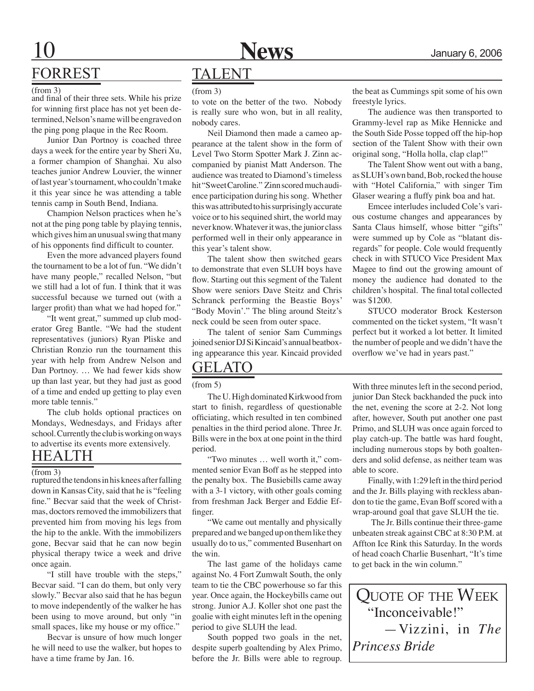

## FORREST

### (from 3)

and final of their three sets. While his prize for winning first place has not yet been determined, Nelson's name will be engraved on the ping pong plaque in the Rec Room.

Junior Dan Portnoy is coached three days a week for the entire year by Sheri Xu, a former champion of Shanghai. Xu also teaches junior Andrew Louvier, the winner of last year's tournament, who couldn't make it this year since he was attending a table tennis camp in South Bend, Indiana.

Champion Nelson practices when he's not at the ping pong table by playing tennis, which gives him an unusual swing that many of his opponents find difficult to counter.

Even the more advanced players found the tournament to be a lot of fun. "We didn't have many people," recalled Nelson, "but we still had a lot of fun. I think that it was successful because we turned out (with a larger profit) than what we had hoped for."

"It went great," summed up club moderator Greg Bantle. "We had the student representatives (juniors) Ryan Pliske and Christian Ronzio run the tournament this year with help from Andrew Nelson and Dan Portnoy. … We had fewer kids show up than last year, but they had just as good of a time and ended up getting to play even more table tennis."

 The club holds optional practices on Mondays, Wednesdays, and Fridays after school. Currently the club is working on ways to advertise its events more extensively.

### Health

### $(from 3)$

ruptured the tendons in his knees after falling down in Kansas City, said that he is "feeling fine." Becvar said that the week of Christmas, doctors removed the immobilizers that prevented him from moving his legs from the hip to the ankle. With the immobilizers gone, Becvar said that he can now begin physical therapy twice a week and drive once again.

"I still have trouble with the steps," Becvar said. "I can do them, but only very slowly." Becvar also said that he has begun to move independently of the walker he has been using to move around, but only "in small spaces, like my house or my office."

Becvar is unsure of how much longer he will need to use the walker, but hopes to have a time frame by Jan. 16.

## TALENT

(from 3)

to vote on the better of the two. Nobody is really sure who won, but in all reality, nobody cares.

Neil Diamond then made a cameo appearance at the talent show in the form of Level Two Storm Spotter Mark J. Zinn accompanied by pianist Matt Anderson. The audience was treated to Diamond's timeless hit "Sweet Caroline." Zinn scored much audience participation during his song. Whether this was attributed to his surprisingly accurate voice or to his sequined shirt, the world may never know. Whatever it was, the junior class performed well in their only appearance in this year's talent show.

 The talent show then switched gears to demonstrate that even SLUH boys have flow. Starting out this segment of the Talent Show were seniors Dave Steitz and Chris Schranck performing the Beastie Boys' "Body Movin'." The bling around Steitz's neck could be seen from outer space.

The talent of senior Sam Cummings joined senior DJ Si Kincaid's annual beatboxing appearance this year. Kincaid provided

## Gelato

(from 5)

The U. High dominated Kirkwood from start to finish, regardless of questionable officiating, which resulted in ten combined penalties in the third period alone. Three Jr. Bills were in the box at one point in the third period.

"Two minutes … well worth it," commented senior Evan Boff as he stepped into the penalty box. The Busiebills came away with a 3-1 victory, with other goals coming from freshman Jack Berger and Eddie Effinger.

"We came out mentally and physically prepared and we banged up on them like they usually do to us," commented Busenhart on the win.

The last game of the holidays came against No. 4 Fort Zumwalt South, the only team to tie the CBC powerhouse so far this year. Once again, the Hockeybills came out strong. Junior A.J. Koller shot one past the goalie with eight minutes left in the opening period to give SLUH the lead.

South popped two goals in the net, despite superb goaltending by Alex Primo, before the Jr. Bills were able to regroup.

the beat as Cummings spit some of his own freestyle lyrics.

 The audience was then transported to Grammy-level rap as Mike Hennicke and the South Side Posse topped off the hip-hop section of the Talent Show with their own original song, "Holla holla, clap clap!"

 The Talent Show went out with a bang, as SLUH's own band, Bob, rocked the house with "Hotel California," with singer Tim Glaser wearing a fluffy pink boa and hat.

Emcee interludes included Cole's various costume changes and appearances by Santa Claus himself, whose bitter "gifts" were summed up by Cole as "blatant disregards" for people. Cole would frequently check in with STUCO Vice President Max Magee to find out the growing amount of money the audience had donated to the children's hospital. The final total collected was \$1200.

STUCO moderator Brock Kesterson commented on the ticket system, "It wasn't perfect but it worked a lot better. It limited the number of people and we didn't have the overflow we've had in years past."

With three minutes left in the second period, junior Dan Steck backhanded the puck into the net, evening the score at 2-2. Not long after, however, South put another one past Primo, and SLUH was once again forced to play catch-up. The battle was hard fought, including numerous stops by both goaltenders and solid defense, as neither team was able to score.

Finally, with 1:29 left in the third period and the Jr. Bills playing with reckless abandon to tie the game, Evan Boff scored with a wrap-around goal that gave SLUH the tie.

 The Jr. Bills continue their three-game unbeaten streak against CBC at 8:30 P.M. at Affton Ice Rink this Saturday. In the words of head coach Charlie Busenhart, "It's time to get back in the win column."

Quote of the Week "Inconceivable!" —Vizzini, in *The Princess Bride*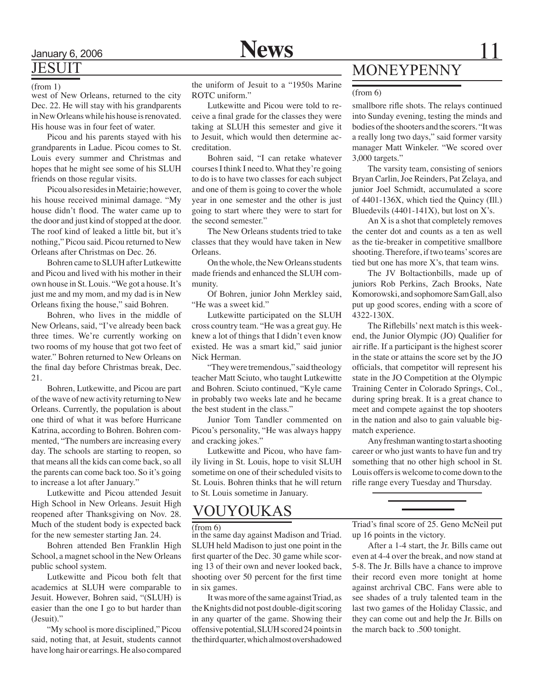# **JESUIT**

### (from 1)

Dec. 22. He will stay with his grandparents in New Orleans while his house is renovated. His house was in four feet of water.

 Picou and his parents stayed with his grandparents in Ladue. Picou comes to St. Louis every summer and Christmas and hopes that he might see some of his SLUH friends on those regular visits.

 Picou also resides in Metairie; however, his house received minimal damage. "My house didn't flood. The water came up to the door and just kind of stopped at the door. The roof kind of leaked a little bit, but it's nothing," Picou said. Picou returned to New Orleans after Christmas on Dec. 26.

Bohren came to SLUH after Lutkewitte and Picou and lived with his mother in their own house in St. Louis. "We got a house. It's just me and my mom, and my dad is in New Orleans fixing the house," said Bohren.

Bohren, who lives in the middle of New Orleans, said, "I've already been back three times. We're currently working on two rooms of my house that got two feet of water." Bohren returned to New Orleans on the final day before Christmas break, Dec. 21.

 Bohren, Lutkewitte, and Picou are part of the wave of new activity returning to New Orleans. Currently, the population is about one third of what it was before Hurricane Katrina, according to Bohren. Bohren commented, "The numbers are increasing every day. The schools are starting to reopen, so that means all the kids can come back, so all the parents can come back too. So it's going to increase a lot after January."

Lutkewitte and Picou attended Jesuit High School in New Orleans. Jesuit High reopened after Thanksgiving on Nov. 28. Much of the student body is expected back for the new semester starting Jan. 24.

 Bohren attended Ben Franklin High School, a magnet school in the New Orleans public school system.

Lutkewitte and Picou both felt that academics at SLUH were comparable to Jesuit. However, Bohren said, "(SLUH) is easier than the one I go to but harder than (Jesuit)."

"My school is more disciplined," Picou said, noting that, at Jesuit, students cannot have long hair or earrings. He also compared

west of New Orleans, returned to the city  $\overline{ROTC}$  uniform." (from 6) the uniform of Jesuit to a "1950s Marine ROTC uniform."

> Lutkewitte and Picou were told to receive a final grade for the classes they were taking at SLUH this semester and give it to Jesuit, which would then determine accreditation.

> Bohren said, "I can retake whatever courses I think I need to. What they're going to do is to have two classes for each subject and one of them is going to cover the whole year in one semester and the other is just going to start where they were to start for the second semester."

> The New Orleans students tried to take classes that they would have taken in New Orleans.

> On the whole, the New Orleans students made friends and enhanced the SLUH community.

> Of Bohren, junior John Merkley said, "He was a sweet kid."

> Lutkewitte participated on the SLUH cross country team. "He was a great guy. He knew a lot of things that I didn't even know existed. He was a smart kid," said junior Nick Herman.

> "They were tremendous," said theology teacher Matt Sciuto, who taught Lutkewitte and Bohren. Sciuto continued, "Kyle came in probably two weeks late and he became the best student in the class."

> Junior Tom Tandler commented on Picou's personality, "He was always happy and cracking jokes."

> Lutkewitte and Picou, who have family living in St. Louis, hope to visit SLUH sometime on one of their scheduled visits to St. Louis. Bohren thinks that he will return to St. Louis sometime in January.

## VOUYOUKAS

### $($ from 6)

in the same day against Madison and Triad. SLUH held Madison to just one point in the first quarter of the Dec. 30 game while scoring 13 of their own and never looked back, shooting over 50 percent for the first time in six games.

It was more of the same against Triad, as the Knights did not post double-digit scoring in any quarter of the game. Showing their offensive potential, SLUH scored 24 points in the third quarter, which almost overshadowed

## MONEYPENNY

smallbore rifle shots. The relays continued into Sunday evening, testing the minds and bodies of the shooters and the scorers. "It was a really long two days," said former varsity manager Matt Winkeler. "We scored over 3,000 targets."

The varsity team, consisting of seniors Bryan Carlin, Joe Reinders, Pat Zelaya, and junior Joel Schmidt, accumulated a score of 4401-136X, which tied the Quincy (Ill.) Bluedevils (4401-141X), but lost on X's.

An X is a shot that completely removes the center dot and counts as a ten as well as the tie-breaker in competitive smallbore shooting. Therefore, if two teams' scores are tied but one has more X's, that team wins.

The JV Boltactionbills, made up of juniors Rob Perkins, Zach Brooks, Nate Komorowski, and sophomore Sam Gall, also put up good scores, ending with a score of 4322-130X.

The Riflebills' next match is this weekend, the Junior Olympic (JO) Qualifier for air rifle. If a participant is the highest scorer in the state or attains the score set by the JO officials, that competitor will represent his state in the JO Competition at the Olympic Training Center in Colorado Springs, Col., during spring break. It is a great chance to meet and compete against the top shooters in the nation and also to gain valuable bigmatch experience.

Any freshman wanting to start a shooting career or who just wants to have fun and try something that no other high school in St. Louis offers is welcome to come down to the rifle range every Tuesday and Thursday.

Triad's final score of 25. Geno McNeil put up 16 points in the victory.

After a 1-4 start, the Jr. Bills came out even at 4-4 over the break, and now stand at 5-8. The Jr. Bills have a chance to improve their record even more tonight at home against archrival CBC. Fans were able to see shades of a truly talented team in the last two games of the Holiday Classic, and they can come out and help the Jr. Bills on the march back to .500 tonight.